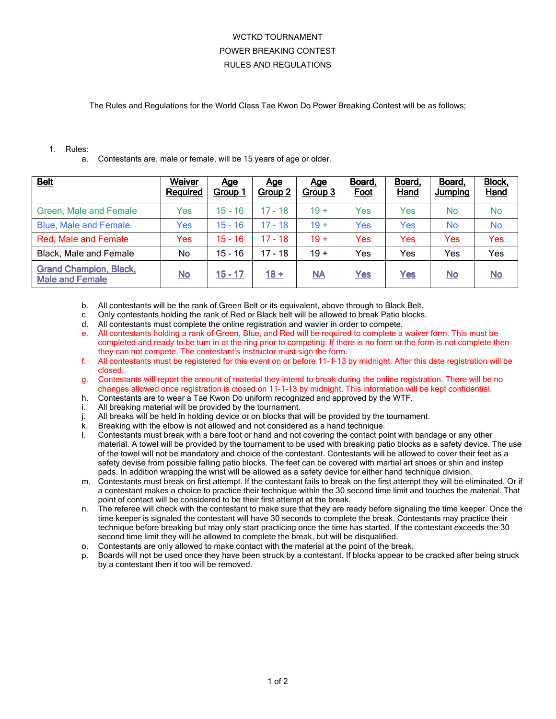## WCTKD TOURNAMENT POWER BREAKING CONTEST RULES AND REGULATIONS

The Rules and Regulations for the World Class Tae Kwon Do Power Breaking Contest will be as follows;

## 1. Rules:

a. Contestants are, male or female, will be 15 years of age or older.

| <b>Belt</b>                                             | Waiver<br>Required        | <u>Age</u><br>Group <sup>-</sup> | <u>Age</u><br>Group 2 | <u>Age</u><br>Group 3     | Board,<br>Foot | Board,<br><b>Hand</b> | Board,<br><b>Jumping</b> | <b>Block,</b><br><b>Hand</b> |
|---------------------------------------------------------|---------------------------|----------------------------------|-----------------------|---------------------------|----------------|-----------------------|--------------------------|------------------------------|
| Green, Male and Female                                  | Yes                       | $15 - 16$                        | $17 - 18$             | $19 +$                    | Yes            | <b>Yes</b>            | <b>No</b>                | <b>No</b>                    |
| <b>Blue, Male and Female</b>                            | Yes                       | $15 - 16$                        | $17 - 18$             | $19 +$                    | Yes            | Yes                   | <b>No</b>                | <b>No</b>                    |
| <b>Red, Male and Female</b>                             | Yes                       | $15 - 16$                        | 17 - 18               | $19 +$                    | Yes            | Yes                   | <b>Yes</b>               | Yes                          |
| <b>Black, Male and Female</b>                           | No                        | $15 - 16$                        | 17 - 18               | $19 +$                    | Yes            | Yes                   | Yes                      | Yes                          |
| <b>Grand Champion, Black,</b><br><b>Male and Female</b> | $\underline{\mathsf{No}}$ | $15 - 17$                        | $18 +$                | $\underline{\mathsf{NA}}$ | Yes            | Yes                   | $No$                     | $\underline{\mathsf{No}}$    |

- b. All contestants will be the rank of Green Belt or its equivalent, above through to Black Belt.
- c. Only contestants holding the rank of Red or Black belt will be allowed to break Patio blocks.
- d. All contestants must complete the online registration and wavier in order to compete.
- e. All contestants holding a rank of Green, Blue, and Red will be required to complete a waiver form. This must be completed and ready to be turn in at the ring prior to competing. If there is no form or the form is not complete then they can not compete. The contestant's instructor must sign the form.
- f. All contestants must be registered for this event on or before 11-1-13 by midnight. After this date registration will be closed.
- g. Contestants will report the amount of material they intend to break during the online registration. There will be no changes allowed once registration is closed on 11-1-13 by midnight. This information will be kept confidential.
- h. Contestants are to wear a Tae Kwon Do uniform recognized and approved by the WTF.
- i. All breaking material will be provided by the tournament.
- j. All breaks will be held in holding device or on blocks that will be provided by the tournament.
- k. Breaking with the elbow is not allowed and not considered as a hand technique.
- l. Contestants must break with a bare foot or hand and not covering the contact point with bandage or any other material. A towel will be provided by the tournament to be used with breaking patio blocks as a safety device. The use of the towel will not be mandatory and choice of the contestant. Contestants will be allowed to cover their feet as a safety devise from possible falling patio blocks. The feet can be covered with martial art shoes or shin and instep pads. In addition wrapping the wrist will be allowed as a safety device for either hand technique division.
- m. Contestants must break on first attempt. If the contestant fails to break on the first attempt they will be eliminated. Or if a contestant makes a choice to practice their technique within the 30 second time limit and touches the material. That point of contact will be considered to be their first attempt at the break.
- n. The referee will check with the contestant to make sure that they are ready before signaling the time keeper. Once the time keeper is signaled the contestant will have 30 seconds to complete the break. Contestants may practice their technique before breaking but may only start practicing once the time has started. If the contestant exceeds the 30 second time limit they will be allowed to complete the break, but will be disqualified.
- o. Contestants are only allowed to make contact with the material at the point of the break.
- Boards will not be used once they have been struck by a contestant. If blocks appear to be cracked after being struck by a contestant then it too will be removed.